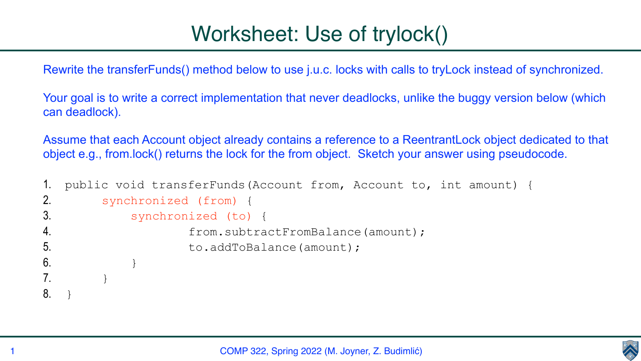COMP 322, Spring 2022 (M. Joyner, Z. Budimlić)





Rewrite the transferFunds() method below to use j.u.c. locks with calls to tryLock instead of synchronized.

Your goal is to write a correct implementation that never deadlocks, unlike the buggy version below (which can deadlock).

Assume that each Account object already contains a reference to a ReentrantLock object dedicated to that object e.g., from.lock() returns the lock for the from object. Sketch your answer using pseudocode.

```
1. public void transferFunds(Account from, Account to, int amount) {
2. synchronized (from) {
3. synchronized (to) {
4. from.subtractFromBalance(amount);
5. to.addToBalance(amount);
6. }
7. }
8. }
```